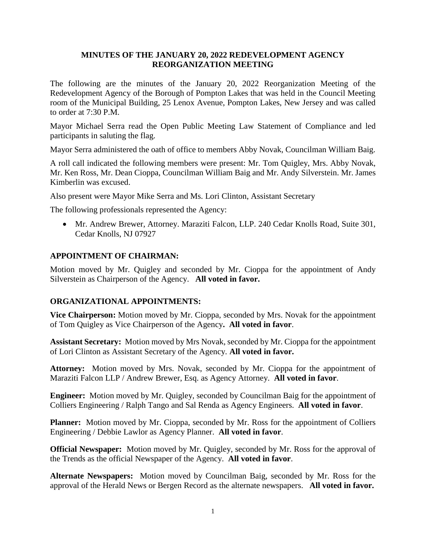## **MINUTES OF THE JANUARY 20, 2022 REDEVELOPMENT AGENCY REORGANIZATION MEETING**

The following are the minutes of the January 20, 2022 Reorganization Meeting of the Redevelopment Agency of the Borough of Pompton Lakes that was held in the Council Meeting room of the Municipal Building, 25 Lenox Avenue, Pompton Lakes, New Jersey and was called to order at 7:30 P.M.

Mayor Michael Serra read the Open Public Meeting Law Statement of Compliance and led participants in saluting the flag.

Mayor Serra administered the oath of office to members Abby Novak, Councilman William Baig.

A roll call indicated the following members were present: Mr. Tom Quigley, Mrs. Abby Novak, Mr. Ken Ross, Mr. Dean Cioppa, Councilman William Baig and Mr. Andy Silverstein. Mr. James Kimberlin was excused.

Also present were Mayor Mike Serra and Ms. Lori Clinton, Assistant Secretary

The following professionals represented the Agency:

 Mr. Andrew Brewer, Attorney. Maraziti Falcon, LLP. 240 Cedar Knolls Road, Suite 301, Cedar Knolls, NJ 07927

## **APPOINTMENT OF CHAIRMAN:**

Motion moved by Mr. Quigley and seconded by Mr. Cioppa for the appointment of Andy Silverstein as Chairperson of the Agency. **All voted in favor.**

### **ORGANIZATIONAL APPOINTMENTS:**

**Vice Chairperson:** Motion moved by Mr. Cioppa, seconded by Mrs. Novak for the appointment of Tom Quigley as Vice Chairperson of the Agency**. All voted in favor**.

**Assistant Secretary:** Motion moved by Mrs Novak, seconded by Mr. Cioppa for the appointment of Lori Clinton as Assistant Secretary of the Agency. **All voted in favor.**

**Attorney:** Motion moved by Mrs. Novak, seconded by Mr. Cioppa for the appointment of Maraziti Falcon LLP / Andrew Brewer, Esq. as Agency Attorney. **All voted in favor**.

**Engineer:** Motion moved by Mr. Quigley, seconded by Councilman Baig for the appointment of Colliers Engineering / Ralph Tango and Sal Renda as Agency Engineers. **All voted in favor**.

**Planner:** Motion moved by Mr. Cioppa, seconded by Mr. Ross for the appointment of Colliers Engineering / Debbie Lawlor as Agency Planner. **All voted in favor**.

**Official Newspaper:** Motion moved by Mr. Quigley, seconded by Mr. Ross for the approval of the Trends as the official Newspaper of the Agency. **All voted in favor**.

**Alternate Newspapers:** Motion moved by Councilman Baig, seconded by Mr. Ross for the approval of the Herald News or Bergen Record as the alternate newspapers. **All voted in favor.**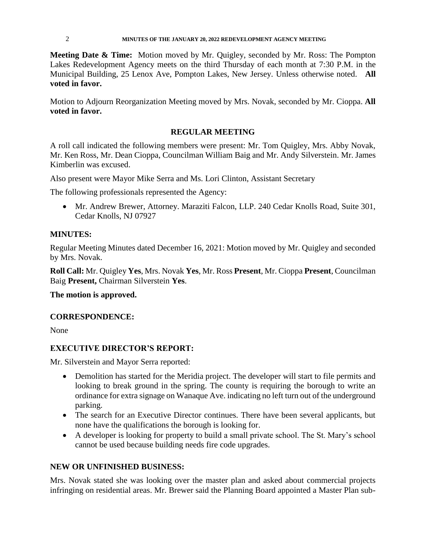#### 2 **MINUTES OF THE JANUARY 20, 2022 REDEVELOPMENT AGENCY MEETING**

**Meeting Date & Time:** Motion moved by Mr. Quigley, seconded by Mr. Ross: The Pompton Lakes Redevelopment Agency meets on the third Thursday of each month at 7:30 P.M. in the Municipal Building, 25 Lenox Ave, Pompton Lakes, New Jersey. Unless otherwise noted. **All voted in favor.**

Motion to Adjourn Reorganization Meeting moved by Mrs. Novak, seconded by Mr. Cioppa. **All voted in favor.**

# **REGULAR MEETING**

A roll call indicated the following members were present: Mr. Tom Quigley, Mrs. Abby Novak, Mr. Ken Ross, Mr. Dean Cioppa, Councilman William Baig and Mr. Andy Silverstein. Mr. James Kimberlin was excused.

Also present were Mayor Mike Serra and Ms. Lori Clinton, Assistant Secretary

The following professionals represented the Agency:

 Mr. Andrew Brewer, Attorney. Maraziti Falcon, LLP. 240 Cedar Knolls Road, Suite 301, Cedar Knolls, NJ 07927

### **MINUTES:**

Regular Meeting Minutes dated December 16, 2021: Motion moved by Mr. Quigley and seconded by Mrs. Novak.

**Roll Call:** Mr. Quigley **Yes**, Mrs. Novak **Yes**, Mr. Ross **Present**, Mr. Cioppa **Present**, Councilman Baig **Present,** Chairman Silverstein **Yes**.

### **The motion is approved.**

### **CORRESPONDENCE:**

None

### **EXECUTIVE DIRECTOR'S REPORT:**

Mr. Silverstein and Mayor Serra reported:

- Demolition has started for the Meridia project. The developer will start to file permits and looking to break ground in the spring. The county is requiring the borough to write an ordinance for extra signage on Wanaque Ave. indicating no left turn out of the underground parking.
- The search for an Executive Director continues. There have been several applicants, but none have the qualifications the borough is looking for.
- A developer is looking for property to build a small private school. The St. Mary's school cannot be used because building needs fire code upgrades.

### **NEW OR UNFINISHED BUSINESS:**

Mrs. Novak stated she was looking over the master plan and asked about commercial projects infringing on residential areas. Mr. Brewer said the Planning Board appointed a Master Plan sub